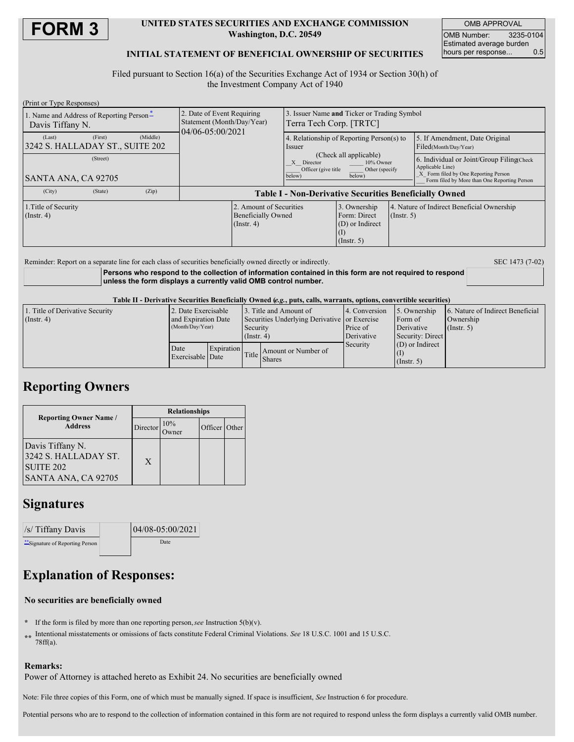

#### **UNITED STATES SECURITIES AND EXCHANGE COMMISSION Washington, D.C. 20549**

OMB APPROVAL OMB Number: 3235-0104 Estimated average burden hours per response... 0.5

### **INITIAL STATEMENT OF BENEFICIAL OWNERSHIP OF SECURITIES**

Filed pursuant to Section 16(a) of the Securities Exchange Act of 1934 or Section 30(h) of the Investment Company Act of 1940

| (Print or Type Responses)                                        |                                                                              |                                                                                                                                                                                 |                                                                     |                  |                                                                                                                                                        |
|------------------------------------------------------------------|------------------------------------------------------------------------------|---------------------------------------------------------------------------------------------------------------------------------------------------------------------------------|---------------------------------------------------------------------|------------------|--------------------------------------------------------------------------------------------------------------------------------------------------------|
| 1. Name and Address of Reporting Person-<br>Davis Tiffany N.     | 2. Date of Event Requiring<br>Statement (Month/Day/Year)<br>04/06-05:00/2021 | 3. Issuer Name and Ticker or Trading Symbol<br>Terra Tech Corp. [TRTC]                                                                                                          |                                                                     |                  |                                                                                                                                                        |
| (Middle)<br>(First)<br>(Last)<br>3242 S. HALLADAY ST., SUITE 202 |                                                                              | 4. Relationship of Reporting Person(s) to<br><i>ssuer</i><br>(Check all applicable)<br>Director<br>10% Owner<br>X<br>Officer (give title)<br>Other (specify<br>below)<br>below) |                                                                     |                  | 5. If Amendment, Date Original<br>Filed(Month/Day/Year)                                                                                                |
| (Street)<br>SANTA ANA, CA 92705                                  |                                                                              |                                                                                                                                                                                 |                                                                     |                  | 6. Individual or Joint/Group Filing(Check)<br>Applicable Line)<br>X Form filed by One Reporting Person<br>Form filed by More than One Reporting Person |
| (City)<br>(State)<br>(Zip)                                       | <b>Table I - Non-Derivative Securities Beneficially Owned</b>                |                                                                                                                                                                                 |                                                                     |                  |                                                                                                                                                        |
| 1. Title of Security<br>$($ Instr. 4 $)$                         | 2. Amount of Securities<br><b>Beneficially Owned</b><br>$($ Instr. 4 $)$     |                                                                                                                                                                                 | 3. Ownership<br>Form: Direct<br>(D) or Indirect<br>$($ Instr. 5 $)$ | $($ Instr. 5 $)$ | 4. Nature of Indirect Beneficial Ownership                                                                                                             |
|                                                                  |                                                                              |                                                                                                                                                                                 |                                                                     |                  |                                                                                                                                                        |

Reminder: Report on a separate line for each class of securities beneficially owned directly or indirectly. SEC 1473 (7-02)

**Persons who respond to the collection of information contained in this form are not required to respond unless the form displays a currently valid OMB control number.**

Table II - Derivative Securities Beneficially Owned (e.g., puts, calls, warrants, options, convertible securities)

| 1. Title of Derivative Security<br>$($ Instr. 4 $)$ | 2. Date Exercisable<br>and Expiration Date<br>(Month/Day/Year) |            | 13. Title and Amount of<br>Securities Underlying Derivative or Exercise<br>Security<br>$($ Instr. 4 $)$ |                                     | 4. Conversion<br>Price of<br>Derivative | 5. Ownership<br>Form of<br>Derivative<br>Security: Direct | 6. Nature of Indirect Beneficial<br>Ownership<br>(Insert, 5) |
|-----------------------------------------------------|----------------------------------------------------------------|------------|---------------------------------------------------------------------------------------------------------|-------------------------------------|-----------------------------------------|-----------------------------------------------------------|--------------------------------------------------------------|
|                                                     | Date<br>Exercisable Date                                       | Expiration |                                                                                                         | Amount or Number of<br>Title Shares | Security                                | $(D)$ or Indirect<br>$($ Instr. 5 $)$                     |                                                              |

### **Reporting Owners**

|                                                                                         | <b>Relationships</b> |                   |               |  |  |
|-----------------------------------------------------------------------------------------|----------------------|-------------------|---------------|--|--|
| <b>Reporting Owner Name</b> /<br><b>Address</b>                                         | Director             | 10%<br>-<br>)wner | Officer Other |  |  |
| Davis Tiffany N.<br>3242 S. HALLADAY ST.<br>SUITE <sub>202</sub><br>SANTA ANA, CA 92705 | X                    |                   |               |  |  |

## **Signatures**

| /s/ Tiffany Davis                | 04/08-05:00/2021 |  |
|----------------------------------|------------------|--|
| ** Signature of Reporting Person | Date             |  |

# **Explanation of Responses:**

### **No securities are beneficially owned**

- **\*** If the form is filed by more than one reporting person,*see* Instruction 5(b)(v).
- **\*\*** Intentional misstatements or omissions of facts constitute Federal Criminal Violations. *See* 18 U.S.C. 1001 and 15 U.S.C. 78ff(a).

### **Remarks:**

Power of Attorney is attached hereto as Exhibit 24. No securities are beneficially owned

Note: File three copies of this Form, one of which must be manually signed. If space is insufficient, *See* Instruction 6 for procedure.

Potential persons who are to respond to the collection of information contained in this form are not required to respond unless the form displays a currently valid OMB number.